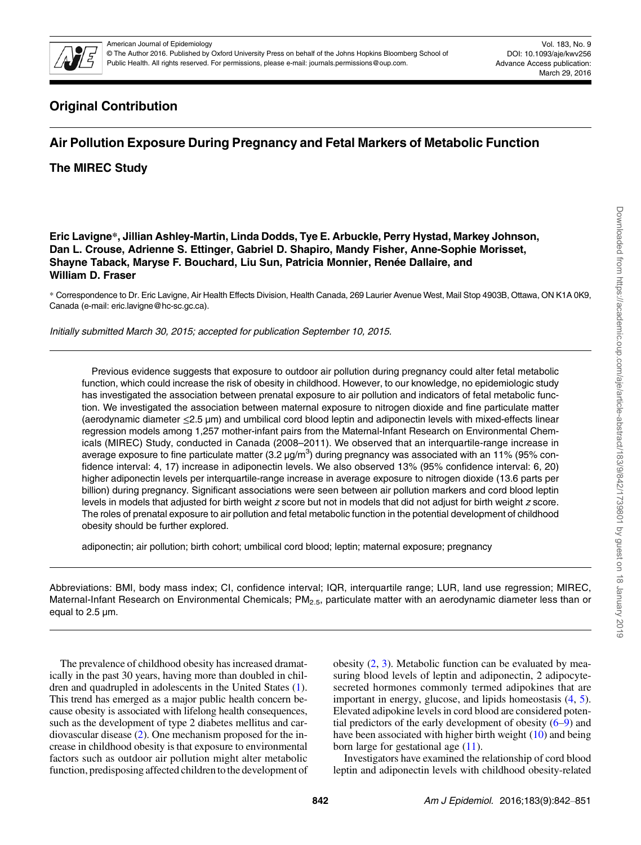

© The Author 2016. Published by Oxford University Press on behalf of the Johns Hopkins Bloomberg School of Public Health. All rights reserved. For permissions, please e-mail: journals.permissions@oup.com.

Vol. 183, No. 9 DOI: 10.1093/aje/kwv256 Advance Access publication: March 29, 2016

# Original Contribution

# Air Pollution Exposure During Pregnancy and Fetal Markers of Metabolic Function

The MIREC Study

Eric Lavigne\*, Jillian Ashley-Martin, Linda Dodds, Tye E. Arbuckle, Perry Hystad, Markey Johnson, Dan L. Crouse, Adrienne S. Ettinger, Gabriel D. Shapiro, Mandy Fisher, Anne-Sophie Morisset, Shayne Taback, Maryse F. Bouchard, Liu Sun, Patricia Monnier, Renée Dallaire, and William D. Fraser

\* Correspondence to Dr. Eric Lavigne, Air Health Effects Division, Health Canada, 269 Laurier Avenue West, Mail Stop 4903B, Ottawa, ON K1A 0K9, Canada (e-mail: eric.lavigne@hc-sc.gc.ca).

Initially submitted March 30, 2015; accepted for publication September 10, 2015.

Previous evidence suggests that exposure to outdoor air pollution during pregnancy could alter fetal metabolic function, which could increase the risk of obesity in childhood. However, to our knowledge, no epidemiologic study has investigated the association between prenatal exposure to air pollution and indicators of fetal metabolic function. We investigated the association between maternal exposure to nitrogen dioxide and fine particulate matter (aerodynamic diameter ≤2.5 µm) and umbilical cord blood leptin and adiponectin levels with mixed-effects linear regression models among 1,257 mother-infant pairs from the Maternal-Infant Research on Environmental Chemicals (MIREC) Study, conducted in Canada (2008–2011). We observed that an interquartile-range increase in average exposure to fine particulate matter (3.2  $\mu$ g/m<sup>3</sup>) during pregnancy was associated with an 11% (95% confidence interval: 4, 17) increase in adiponectin levels. We also observed 13% (95% confidence interval: 6, 20) higher adiponectin levels per interquartile-range increase in average exposure to nitrogen dioxide (13.6 parts per billion) during pregnancy. Significant associations were seen between air pollution markers and cord blood leptin levels in models that adjusted for birth weight z score but not in models that did not adjust for birth weight z score. The roles of prenatal exposure to air pollution and fetal metabolic function in the potential development of childhood obesity should be further explored.

adiponectin; air pollution; birth cohort; umbilical cord blood; leptin; maternal exposure; pregnancy

Abbreviations: BMI, body mass index; CI, confidence interval; IQR, interquartile range; LUR, land use regression; MIREC, Maternal-Infant Research on Environmental Chemicals; PM<sub>2.5</sub>, particulate matter with an aerodynamic diameter less than or equal to 2.5 µm.

The prevalence of childhood obesity has increased dramatically in the past 30 years, having more than doubled in children and quadrupled in adolescents in the United States [\(1](#page-8-0)). This trend has emerged as a major public health concern because obesity is associated with lifelong health consequences, such as the development of type 2 diabetes mellitus and cardiovascular disease ([2\)](#page-8-0). One mechanism proposed for the increase in childhood obesity is that exposure to environmental factors such as outdoor air pollution might alter metabolic function, predisposing affected children to the development of obesity  $(2, 3)$  $(2, 3)$  $(2, 3)$  $(2, 3)$ . Metabolic function can be evaluated by measuring blood levels of leptin and adiponectin, 2 adipocytesecreted hormones commonly termed adipokines that are important in energy, glucose, and lipids homeostasis ([4,](#page-8-0) [5](#page-8-0)). Elevated adipokine levels in cord blood are considered potential predictors of the early development of obesity  $(6-9)$  $(6-9)$  $(6-9)$  $(6-9)$  and have been associated with higher birth weight ([10\)](#page-8-0) and being born large for gestational age  $(11)$  $(11)$ .

Investigators have examined the relationship of cord blood leptin and adiponectin levels with childhood obesity-related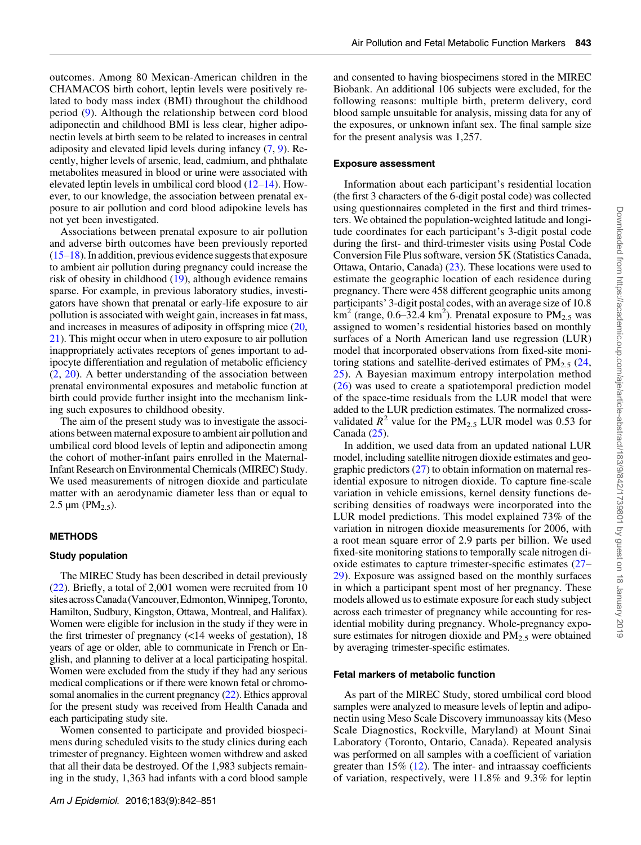outcomes. Among 80 Mexican-American children in the CHAMACOS birth cohort, leptin levels were positively related to body mass index (BMI) throughout the childhood period ([9](#page-8-0)). Although the relationship between cord blood adiponectin and childhood BMI is less clear, higher adiponectin levels at birth seem to be related to increases in central adiposity and elevated lipid levels during infancy [\(7](#page-8-0), [9\)](#page-8-0). Recently, higher levels of arsenic, lead, cadmium, and phthalate metabolites measured in blood or urine were associated with

elevated leptin levels in umbilical cord blood [\(12](#page-8-0)–[14](#page-8-0)). However, to our knowledge, the association between prenatal exposure to air pollution and cord blood adipokine levels has not yet been investigated. Associations between prenatal exposure to air pollution

and adverse birth outcomes have been previously reported  $(15–18)$  $(15–18)$  $(15–18)$  $(15–18)$ . In addition, previous evidence suggests that exposure to ambient air pollution during pregnancy could increase the risk of obesity in childhood ([19\)](#page-8-0), although evidence remains sparse. For example, in previous laboratory studies, investigators have shown that prenatal or early-life exposure to air pollution is associated with weight gain, increases in fat mass, and increases in measures of adiposity in offspring mice [\(20,](#page-8-0) [21](#page-8-0)). This might occur when in utero exposure to air pollution inappropriately activates receptors of genes important to adipocyte differentiation and regulation of metabolic efficiency [\(2](#page-8-0), [20](#page-8-0)). A better understanding of the association between prenatal environmental exposures and metabolic function at birth could provide further insight into the mechanism linking such exposures to childhood obesity.

The aim of the present study was to investigate the associations between maternal exposure to ambient air pollution and umbilical cord blood levels of leptin and adiponectin among the cohort of mother-infant pairs enrolled in the Maternal-Infant Research on Environmental Chemicals (MIREC) Study. We used measurements of nitrogen dioxide and particulate matter with an aerodynamic diameter less than or equal to 2.5  $\mu$ m (PM<sub>2.5</sub>).

## METHODS

#### Study population

The MIREC Study has been described in detail previously [\(22](#page-8-0)). Briefly, a total of 2,001 women were recruited from 10 sites across Canada (Vancouver, Edmonton, Winnipeg, Toronto, Hamilton, Sudbury, Kingston, Ottawa, Montreal, and Halifax). Women were eligible for inclusion in the study if they were in the first trimester of pregnancy (<14 weeks of gestation), 18 years of age or older, able to communicate in French or English, and planning to deliver at a local participating hospital. Women were excluded from the study if they had any serious medical complications or if there were known fetal or chromosomal anomalies in the current pregnancy ([22](#page-8-0)). Ethics approval for the present study was received from Health Canada and each participating study site.

Women consented to participate and provided biospecimens during scheduled visits to the study clinics during each trimester of pregnancy. Eighteen women withdrew and asked that all their data be destroyed. Of the 1,983 subjects remaining in the study, 1,363 had infants with a cord blood sample and consented to having biospecimens stored in the MIREC Biobank. An additional 106 subjects were excluded, for the following reasons: multiple birth, preterm delivery, cord blood sample unsuitable for analysis, missing data for any of the exposures, or unknown infant sex. The final sample size for the present analysis was 1,257.

#### Exposure assessment

Information about each participant's residential location (the first 3 characters of the 6-digit postal code) was collected using questionnaires completed in the first and third trimesters. We obtained the population-weighted latitude and longitude coordinates for each participant's 3-digit postal code during the first- and third-trimester visits using Postal Code Conversion File Plus software, version 5K (Statistics Canada, Ottawa, Ontario, Canada) [\(23](#page-8-0)). These locations were used to estimate the geographic location of each residence during pregnancy. There were 458 different geographic units among participants' 3-digit postal codes, with an average size of 10.8  $km^2$  (range, 0.6–32.4 km<sup>2</sup>). Prenatal exposure to PM<sub>2.5</sub> was assigned to women's residential histories based on monthly surfaces of a North American land use regression (LUR) model that incorporated observations from fixed-site monitoring stations and satellite-derived estimates of  $PM_{2.5}$  [\(24](#page-8-0), [25](#page-9-0)). A Bayesian maximum entropy interpolation method [\(26\)](#page-9-0) was used to create a spatiotemporal prediction model of the space-time residuals from the LUR model that were added to the LUR prediction estimates. The normalized crossvalidated  $R^2$  value for the PM<sub>2.5</sub> LUR model was 0.53 for Canada ([25\)](#page-9-0).

In addition, we used data from an updated national LUR model, including satellite nitrogen dioxide estimates and geographic predictors  $(27)$  $(27)$  $(27)$  to obtain information on maternal residential exposure to nitrogen dioxide. To capture fine-scale variation in vehicle emissions, kernel density functions describing densities of roadways were incorporated into the LUR model predictions. This model explained 73% of the variation in nitrogen dioxide measurements for 2006, with a root mean square error of 2.9 parts per billion. We used fixed-site monitoring stations to temporally scale nitrogen dioxide estimates to capture trimester-specific estimates ([27](#page-9-0)– [29](#page-9-0)). Exposure was assigned based on the monthly surfaces in which a participant spent most of her pregnancy. These models allowed us to estimate exposure for each study subject across each trimester of pregnancy while accounting for residential mobility during pregnancy. Whole-pregnancy exposure estimates for nitrogen dioxide and  $PM_{2.5}$  were obtained by averaging trimester-specific estimates.

### Fetal markers of metabolic function

As part of the MIREC Study, stored umbilical cord blood samples were analyzed to measure levels of leptin and adiponectin using Meso Scale Discovery immunoassay kits (Meso Scale Diagnostics, Rockville, Maryland) at Mount Sinai Laboratory (Toronto, Ontario, Canada). Repeated analysis was performed on all samples with a coefficient of variation greater than  $15\%$  ([12\)](#page-8-0). The inter- and intraassay coefficients of variation, respectively, were 11.8% and 9.3% for leptin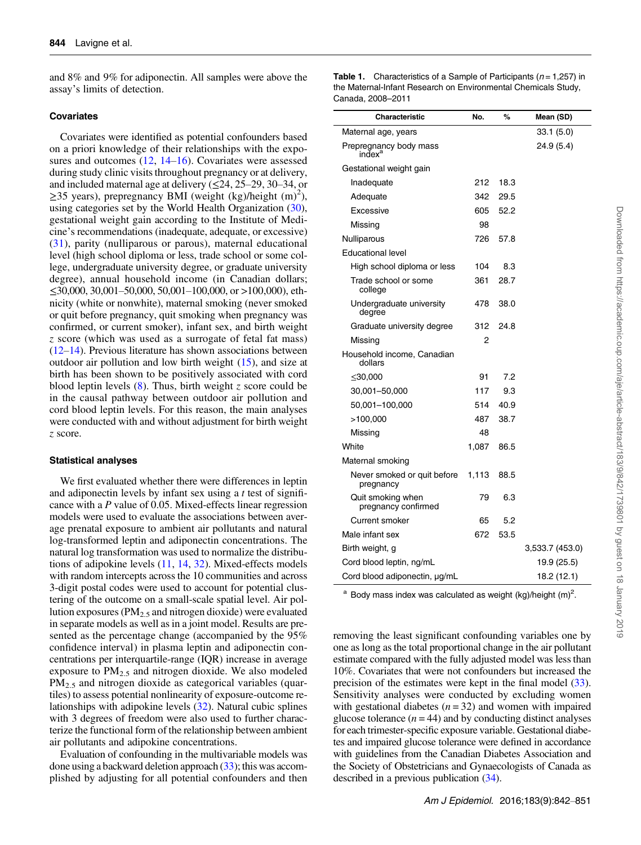<span id="page-2-0"></span>and 8% and 9% for adiponectin. All samples were above the assay's limits of detection.

## **Covariates**

Covariates were identified as potential confounders based on a priori knowledge of their relationships with the exposures and outcomes  $(12, 14-16)$  $(12, 14-16)$  $(12, 14-16)$  $(12, 14-16)$  $(12, 14-16)$ . Covariates were assessed during study clinic visits throughout pregnancy or at delivery, and included maternal age at delivery  $(\leq 24, 25-29, 30-34, \text{ or }$ ≥35 years), prepregnancy BMI (weight (kg)/height  $(m)^2$ ), using categories set by the World Health Organization [\(30](#page-9-0)), gestational weight gain according to the Institute of Medicine's recommendations (inadequate, adequate, or excessive) [\(31\)](#page-9-0), parity (nulliparous or parous), maternal educational level (high school diploma or less, trade school or some college, undergraduate university degree, or graduate university degree), annual household income (in Canadian dollars; ≤30,000, 30,001–50,000, 50,001–100,000, or >100,000), ethnicity (white or nonwhite), maternal smoking (never smoked or quit before pregnancy, quit smoking when pregnancy was confirmed, or current smoker), infant sex, and birth weight z score (which was used as a surrogate of fetal fat mass) [\(12](#page-8-0)–[14](#page-8-0)). Previous literature has shown associations between outdoor air pollution and low birth weight [\(15](#page-8-0)), and size at birth has been shown to be positively associated with cord blood leptin levels  $(8)$  $(8)$ . Thus, birth weight z score could be in the causal pathway between outdoor air pollution and cord blood leptin levels. For this reason, the main analyses were conducted with and without adjustment for birth weight z score.

#### Statistical analyses

We first evaluated whether there were differences in leptin and adiponectin levels by infant sex using a t test of significance with a P value of 0.05. Mixed-effects linear regression models were used to evaluate the associations between average prenatal exposure to ambient air pollutants and natural log-transformed leptin and adiponectin concentrations. The natural log transformation was used to normalize the distributions of adipokine levels [\(11](#page-8-0), [14,](#page-8-0) [32\)](#page-9-0). Mixed-effects models with random intercepts across the 10 communities and across 3-digit postal codes were used to account for potential clustering of the outcome on a small-scale spatial level. Air pollution exposures ( $PM_{2.5}$  and nitrogen dioxide) were evaluated in separate models as well as in a joint model. Results are presented as the percentage change (accompanied by the 95% confidence interval) in plasma leptin and adiponectin concentrations per interquartile-range (IQR) increase in average exposure to  $PM_{2.5}$  and nitrogen dioxide. We also modeled  $PM_{2.5}$  and nitrogen dioxide as categorical variables (quartiles) to assess potential nonlinearity of exposure-outcome relationships with adipokine levels ([32\)](#page-9-0). Natural cubic splines with 3 degrees of freedom were also used to further characterize the functional form of the relationship between ambient air pollutants and adipokine concentrations.

Evaluation of confounding in the multivariable models was done using a backward deletion approach [\(33\)](#page-9-0); this was accomplished by adjusting for all potential confounders and then **Table 1.** Characteristics of a Sample of Participants ( $n = 1,257$ ) in the Maternal-Infant Research on Environmental Chemicals Study, Canada, 2008–2011

| Characteristic                               | No.   | %    | Mean (SD)       |
|----------------------------------------------|-------|------|-----------------|
| Maternal age, years                          |       |      | 33.1 (5.0)      |
| Prepregnancy body mass<br>index <sup>a</sup> |       |      | 24.9 (5.4)      |
| Gestational weight gain                      |       |      |                 |
| Inadequate                                   | 212   | 18.3 |                 |
| Adequate                                     | 342   | 29.5 |                 |
| Excessive                                    | 605   | 52.2 |                 |
| Missing                                      | 98    |      |                 |
| Nulliparous                                  | 726   | 57.8 |                 |
| <b>Educational level</b>                     |       |      |                 |
| High school diploma or less                  | 104   | 8.3  |                 |
| Trade school or some<br>college              | 361   | 28.7 |                 |
| Undergraduate university<br>degree           | 478   | 38.0 |                 |
| Graduate university degree                   | 312   | 24.8 |                 |
| Missing                                      | 2     |      |                 |
| Household income, Canadian<br>dollars        |       |      |                 |
| ≤30,000                                      | 91    | 7.2  |                 |
| 30,001–50,000                                | 117   | 9.3  |                 |
| 50,001-100,000                               | 514   | 40.9 |                 |
| >100,000                                     | 487   | 38.7 |                 |
| Missing                                      | 48    |      |                 |
| White                                        | 1,087 | 86.5 |                 |
| Maternal smoking                             |       |      |                 |
| Never smoked or quit before<br>pregnancy     | 1,113 | 88.5 |                 |
| Quit smoking when<br>pregnancy confirmed     | 79    | 6.3  |                 |
| Current smoker                               | 65    | 5.2  |                 |
| Male infant sex                              | 672   | 53.5 |                 |
| Birth weight, g                              |       |      | 3,533.7 (453.0) |
| Cord blood leptin, ng/mL                     |       |      | 19.9 (25.5)     |
| Cord blood adiponectin, µg/mL                |       |      | 18.2 (12.1)     |

 $^{\text{a}}$  Body mass index was calculated as weight (kg)/height (m)<sup>2</sup>.

removing the least significant confounding variables one by one as long as the total proportional change in the air pollutant estimate compared with the fully adjusted model was less than 10%. Covariates that were not confounders but increased the precision of the estimates were kept in the final model  $(33)$  $(33)$ . Sensitivity analyses were conducted by excluding women with gestational diabetes  $(n = 32)$  and women with impaired glucose tolerance  $(n = 44)$  and by conducting distinct analyses for each trimester-specific exposure variable. Gestational diabetes and impaired glucose tolerance were defined in accordance with guidelines from the Canadian Diabetes Association and the Society of Obstetricians and Gynaecologists of Canada as described in a previous publication ([34](#page-9-0)).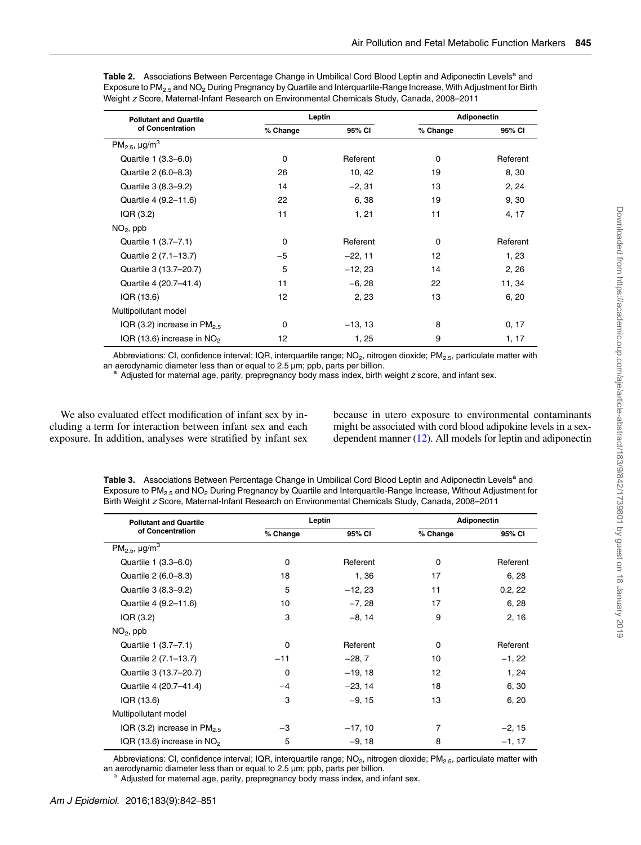| <b>Pollutant and Quartile</b>              | Leptin   |           | <b>Adiponectin</b> |          |  |
|--------------------------------------------|----------|-----------|--------------------|----------|--|
| of Concentration                           | % Change | 95% CI    | % Change           | 95% CI   |  |
| PM <sub>2.5</sub> , $\mu$ g/m <sup>3</sup> |          |           |                    |          |  |
| Quartile 1 (3.3–6.0)                       | $\Omega$ | Referent  | $\Omega$           | Referent |  |
| Quartile 2 (6.0-8.3)                       | 26       | 10, 42    | 19                 | 8,30     |  |
| Quartile 3 (8.3-9.2)                       | 14       | $-2, 31$  | 13                 | 2, 24    |  |
| Quartile 4 (9.2-11.6)                      | 22       | 6, 38     | 19                 | 9, 30    |  |
| IQR (3.2)                                  | 11       | 1, 21     | 11                 | 4, 17    |  |
| $NO2$ , ppb                                |          |           |                    |          |  |
| Quartile 1 (3.7–7.1)                       | $\Omega$ | Referent  | $\Omega$           | Referent |  |
| Quartile 2 (7.1-13.7)                      | $-5$     | $-22, 11$ | 12                 | 1, 23    |  |
| Quartile 3 (13.7–20.7)                     | 5        | $-12, 23$ | 14                 | 2,26     |  |
| Quartile 4 (20.7-41.4)                     | 11       | $-6, 28$  | 22                 | 11, 34   |  |
| IQR (13.6)                                 | 12       | 2, 23     | 13                 | 6, 20    |  |
| Multipollutant model                       |          |           |                    |          |  |
| IQR (3.2) increase in $PM2.5$              | 0        | $-13, 13$ | 8                  | 0, 17    |  |
| IQR (13.6) increase in $NO2$               | 12       | 1, 25     | 9                  | 1, 17    |  |

<span id="page-3-0"></span>Table 2. Associations Between Percentage Change in Umbilical Cord Blood Leptin and Adiponectin Levels<sup>a</sup> and Exposure to PM<sub>2.5</sub> and NO<sub>2</sub> During Pregnancy by Quartile and Interquartile-Range Increase, With Adjustment for Birth Weight z Score, Maternal-Infant Research on Environmental Chemicals Study, Canada, 2008–2011

Abbreviations: CI, confidence interval; IQR, interquartile range;  $NO<sub>2</sub>$ , nitrogen dioxide;  $PM<sub>2.5</sub>$ , particulate matter with an aerodynamic diameter less than or equal to 2.5  $\mu$ m; ppb, parts per billion.

 $a$  Adjusted for maternal age, parity, prepregnancy body mass index, birth weight  $z$  score, and infant sex.

We also evaluated effect modification of infant sex by including a term for interaction between infant sex and each exposure. In addition, analyses were stratified by infant sex because in utero exposure to environmental contaminants might be associated with cord blood adipokine levels in a sexdependent manner ([12\)](#page-8-0). All models for leptin and adiponectin

Table 3. Associations Between Percentage Change in Umbilical Cord Blood Leptin and Adiponectin Levels<sup>a</sup> and Exposure to PM2.5 and NO2 During Pregnancy by Quartile and Interquartile-Range Increase, Without Adjustment for Birth Weight z Score, Maternal-Infant Research on Environmental Chemicals Study, Canada, 2008–2011

| <b>Pollutant and Quartile</b>       | Leptin      |           | <b>Adiponectin</b> |          |  |
|-------------------------------------|-------------|-----------|--------------------|----------|--|
| of Concentration                    | % Change    | 95% CI    | % Change           | 95% CI   |  |
| $PM_{2.5}$ , $\mu$ g/m <sup>3</sup> |             |           |                    |          |  |
| Quartile 1 (3.3–6.0)                | 0           | Referent  | 0                  | Referent |  |
| Quartile 2 (6.0-8.3)                | 18          | 1,36      | 17                 | 6, 28    |  |
| Quartile 3 (8.3-9.2)                | 5           | $-12, 23$ | 11                 | 0.2, 22  |  |
| Quartile 4 (9.2-11.6)               | 10          | $-7, 28$  | 17                 | 6, 28    |  |
| IQR (3.2)                           | 3           | $-8, 14$  | 9                  | 2, 16    |  |
| $NO2$ , ppb                         |             |           |                    |          |  |
| Quartile 1 (3.7-7.1)                | $\mathbf 0$ | Referent  | 0                  | Referent |  |
| Quartile 2 (7.1–13.7)               | $-11$       | $-28, 7$  | 10                 | $-1, 22$ |  |
| Quartile 3 (13.7–20.7)              | $\Omega$    | $-19, 18$ | 12                 | 1, 24    |  |
| Quartile 4 (20.7-41.4)              | $-4$        | $-23, 14$ | 18                 | 6, 30    |  |
| IQR (13.6)                          | 3           | $-9, 15$  | 13                 | 6, 20    |  |
| Multipollutant model                |             |           |                    |          |  |
| IQR (3.2) increase in $PM2.5$       | $-3$        | $-17, 10$ | 7                  | $-2, 15$ |  |
| IQR (13.6) increase in $NO2$        | 5           | $-9, 18$  | 8                  | $-1, 17$ |  |

Abbreviations: CI, confidence interval; IQR, interquartile range;  $NO<sub>2</sub>$ , nitrogen dioxide;  $PM<sub>2.5</sub>$ , particulate matter with an aerodynamic diameter less than or equal to 2.5  $\mu$ m; ppb, parts per billion.

a Adjusted for maternal age, parity, prepregnancy body mass index, and infant sex.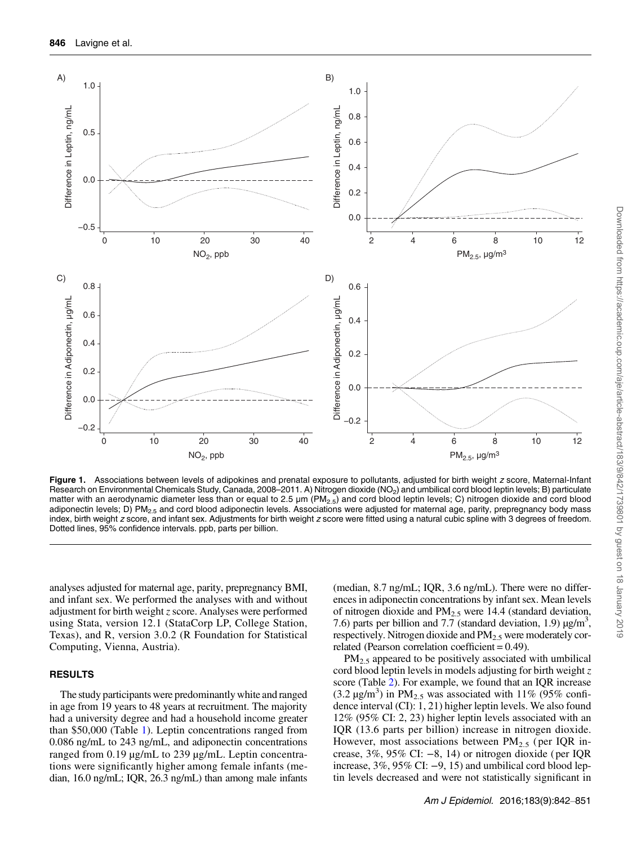<span id="page-4-0"></span>

Figure 1. Associations between levels of adipokines and prenatal exposure to pollutants, adjusted for birth weight z score, Maternal-Infant Research on Environmental Chemicals Study, Canada, 2008–2011. A) Nitrogen dioxide (NO<sub>2</sub>) and umbilical cord blood leptin levels; B) particulate matter with an aerodynamic diameter less than or equal to 2.5  $\mu$ m (PM<sub>2.5</sub>) and cord blood leptin levels; C) nitrogen dioxide and cord blood adiponectin levels; D) PM<sub>2.5</sub> and cord blood adiponectin levels. Associations were adjusted for maternal age, parity, prepregnancy body mass index, birth weight z score, and infant sex. Adjustments for birth weight z score were fitted using a natural cubic spline with 3 degrees of freedom. Dotted lines, 95% confidence intervals. ppb, parts per billion.

analyses adjusted for maternal age, parity, prepregnancy BMI, and infant sex. We performed the analyses with and without adjustment for birth weight  $z$  score. Analyses were performed using Stata, version 12.1 (StataCorp LP, College Station, Texas), and R, version 3.0.2 (R Foundation for Statistical Computing, Vienna, Austria).

### RESULTS

The study participants were predominantly white and ranged in age from 19 years to 48 years at recruitment. The majority had a university degree and had a household income greater than \$50,000 (Table [1](#page-2-0)). Leptin concentrations ranged from 0.086 ng/mL to 243 ng/mL, and adiponectin concentrations ranged from 0.19 µg/mL to 239 µg/mL. Leptin concentrations were significantly higher among female infants (median, 16.0 ng/mL; IQR, 26.3 ng/mL) than among male infants

(median, 8.7 ng/mL; IQR, 3.6 ng/mL). There were no differences in adiponectin concentrations by infant sex. Mean levels of nitrogen dioxide and  $PM_{2.5}$  were 14.4 (standard deviation, 7.6) parts per billion and 7.7 (standard deviation, 1.9)  $\mu$ g/m<sup>3</sup>, respectively. Nitrogen dioxide and  $PM<sub>2.5</sub>$  were moderately correlated (Pearson correlation coefficient = 0.49).

 $PM<sub>2.5</sub>$  appeared to be positively associated with umbilical cord blood leptin levels in models adjusting for birth weight  $z$ score (Table [2](#page-3-0)). For example, we found that an IQR increase  $(3.2 \text{ µg/m}^3)$  in PM<sub>2.5</sub> was associated with 11% (95% confidence interval (CI): 1, 21) higher leptin levels. We also found 12% (95% CI: 2, 23) higher leptin levels associated with an IQR (13.6 parts per billion) increase in nitrogen dioxide. However, most associations between  $PM_{2.5}$  (per IQR increase,  $3\%$ ,  $95\%$  CI:  $-8$ , 14) or nitrogen dioxide (per IQR increase,  $3\%$ ,  $95\%$  CI:  $-9$ , 15) and umbilical cord blood leptin levels decreased and were not statistically significant in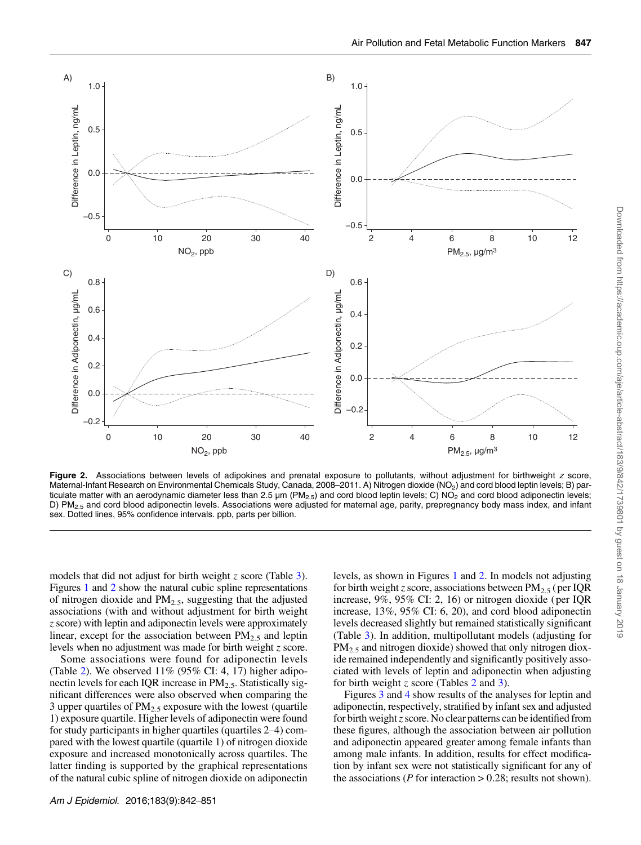

Figure 2. Associations between levels of adipokines and prenatal exposure to pollutants, without adjustment for birthweight z score, Maternal-Infant Research on Environmental Chemicals Study, Canada, 2008–2011. A) Nitrogen dioxide (NO<sub>2</sub>) and cord blood leptin levels; B) particulate matter with an aerodynamic diameter less than 2.5  $\mu$ m (PM<sub>2.5</sub>) and cord blood leptin levels; C) NO<sub>2</sub> and cord blood adiponectin levels; D) PM<sub>2.5</sub> and cord blood adiponectin levels. Associations were adjusted for maternal age, parity, prepregnancy body mass index, and infant sex. Dotted lines, 95% confidence intervals. ppb, parts per billion.

models that did not adjust for birth weight  $z$  score (Table [3](#page-3-0)). Figures [1](#page-4-0) and 2 show the natural cubic spline representations of nitrogen dioxide and  $PM<sub>2.5</sub>$ , suggesting that the adjusted associations (with and without adjustment for birth weight z score) with leptin and adiponectin levels were approximately linear, except for the association between  $PM_{2.5}$  and leptin levels when no adjustment was made for birth weight z score.

Some associations were found for adiponectin levels (Table [2\)](#page-3-0). We observed  $11\%$  (95% CI: 4, 17) higher adiponectin levels for each IQR increase in  $PM_{2,5}$ . Statistically significant differences were also observed when comparing the 3 upper quartiles of  $PM_{2.5}$  exposure with the lowest (quartile 1) exposure quartile. Higher levels of adiponectin were found for study participants in higher quartiles (quartiles 2–4) compared with the lowest quartile (quartile 1) of nitrogen dioxide exposure and increased monotonically across quartiles. The latter finding is supported by the graphical representations of the natural cubic spline of nitrogen dioxide on adiponectin levels, as shown in Figures [1](#page-4-0) and 2. In models not adjusting for birth weight z score, associations between PM<sub>2.5</sub> (per IQR increase, 9%, 95% CI: 2, 16) or nitrogen dioxide ( per IQR increase, 13%, 95% CI: 6, 20), and cord blood adiponectin levels decreased slightly but remained statistically significant (Table [3\)](#page-3-0). In addition, multipollutant models (adjusting for  $PM<sub>2.5</sub>$  and nitrogen dioxide) showed that only nitrogen dioxide remained independently and significantly positively associated with levels of leptin and adiponectin when adjusting for birth weight z score (Tables [2](#page-3-0) and [3\)](#page-3-0).

Figures [3](#page-6-0) and [4](#page-6-0) show results of the analyses for leptin and adiponectin, respectively, stratified by infant sex and adjusted for birth weight  $z$  score. No clear patterns can be identified from these figures, although the association between air pollution and adiponectin appeared greater among female infants than among male infants. In addition, results for effect modification by infant sex were not statistically significant for any of the associations ( $P$  for interaction  $> 0.28$ ; results not shown).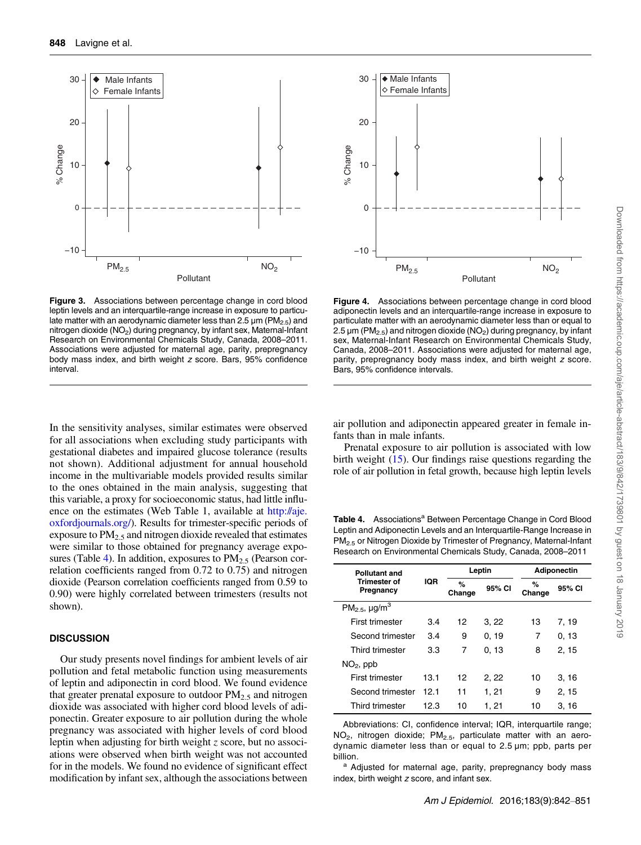<span id="page-6-0"></span>

Figure 3. Associations between percentage change in cord blood leptin levels and an interquartile-range increase in exposure to particulate matter with an aerodynamic diameter less than 2.5  $\mu$ m (PM<sub>2.5</sub>) and nitrogen dioxide  $(NO<sub>2</sub>)$  during pregnancy, by infant sex, Maternal-Infant Research on Environmental Chemicals Study, Canada, 2008–2011. Associations were adjusted for maternal age, parity, prepregnancy body mass index, and birth weight z score. Bars, 95% confidence interval.

In the sensitivity analyses, similar estimates were observed for all associations when excluding study participants with gestational diabetes and impaired glucose tolerance (results not shown). Additional adjustment for annual household income in the multivariable models provided results similar to the ones obtained in the main analysis, suggesting that this variable, a proxy for socioeconomic status, had little influ-ence on the estimates ([Web Table 1](http://aje.oxfordjournals.org/lookup/suppl/doi:10.1093/aje/kwv256/-/DC1), available at [http://aje.](http://aje.oxfordjournals.org/) [oxfordjournals.org/](http://aje.oxfordjournals.org/)). Results for trimester-specific periods of exposure to  $PM<sub>2.5</sub>$  and nitrogen dioxide revealed that estimates were similar to those obtained for pregnancy average exposures (Table 4). In addition, exposures to  $PM_{2.5}$  (Pearson correlation coefficients ranged from 0.72 to 0.75) and nitrogen dioxide (Pearson correlation coefficients ranged from 0.59 to 0.90) were highly correlated between trimesters (results not shown).

#### **DISCUSSION**

Our study presents novel findings for ambient levels of air pollution and fetal metabolic function using measurements of leptin and adiponectin in cord blood. We found evidence that greater prenatal exposure to outdoor  $PM<sub>2.5</sub>$  and nitrogen dioxide was associated with higher cord blood levels of adiponectin. Greater exposure to air pollution during the whole pregnancy was associated with higher levels of cord blood leptin when adjusting for birth weight  $z$  score, but no associations were observed when birth weight was not accounted for in the models. We found no evidence of significant effect modification by infant sex, although the associations between



Figure 4. Associations between percentage change in cord blood adiponectin levels and an interquartile-range increase in exposure to particulate matter with an aerodynamic diameter less than or equal to 2.5  $\mu$ m (PM<sub>2.5</sub>) and nitrogen dioxide (NO<sub>2</sub>) during pregnancy, by infant sex, Maternal-Infant Research on Environmental Chemicals Study, Canada, 2008–2011. Associations were adjusted for maternal age, parity, prepregnancy body mass index, and birth weight z score. Bars, 95% confidence intervals.

air pollution and adiponectin appeared greater in female infants than in male infants.

Prenatal exposure to air pollution is associated with low birth weight [\(15](#page-8-0)). Our findings raise questions regarding the role of air pollution in fetal growth, because high leptin levels

Table 4. Associations<sup>a</sup> Between Percentage Change in Cord Blood Leptin and Adiponectin Levels and an Interquartile-Range Increase in PM2.5 or Nitrogen Dioxide by Trimester of Pregnancy, Maternal-Infant Research on Environmental Chemicals Study, Canada, 2008–2011

| <b>Pollutant and</b>                       |            | Leptin      |        | <b>Adiponectin</b> |        |
|--------------------------------------------|------------|-------------|--------|--------------------|--------|
| Trimester of<br>Pregnancy                  | <b>IQR</b> | %<br>Change | 95% CI | %<br>Change        | 95% CI |
| PM <sub>2.5</sub> , $\mu$ g/m <sup>3</sup> |            |             |        |                    |        |
| First trimester                            | 3.4        | 12          | 3,22   | 13                 | 7, 19  |
| Second trimester                           | 3.4        | 9           | 0, 19  | 7                  | 0, 13  |
| Third trimester                            | 3.3        | 7           | 0, 13  | 8                  | 2, 15  |
| $NO2$ , ppb                                |            |             |        |                    |        |
| First trimester                            | 13.1       | 12          | 2, 22  | 10                 | 3, 16  |
| Second trimester                           | 12.1       | 11          | 1, 21  | 9                  | 2, 15  |
| Third trimester                            | 12.3       | 10          | 1, 21  | 10                 | 3, 16  |

Abbreviations: CI, confidence interval; IQR, interquartile range;  $NO<sub>2</sub>$ , nitrogen dioxide;  $PM<sub>2.5</sub>$ , particulate matter with an aerodynamic diameter less than or equal to 2.5 µm; ppb, parts per billion.

<sup>a</sup> Adjusted for maternal age, parity, prepregnancy body mass index, birth weight z score, and infant sex.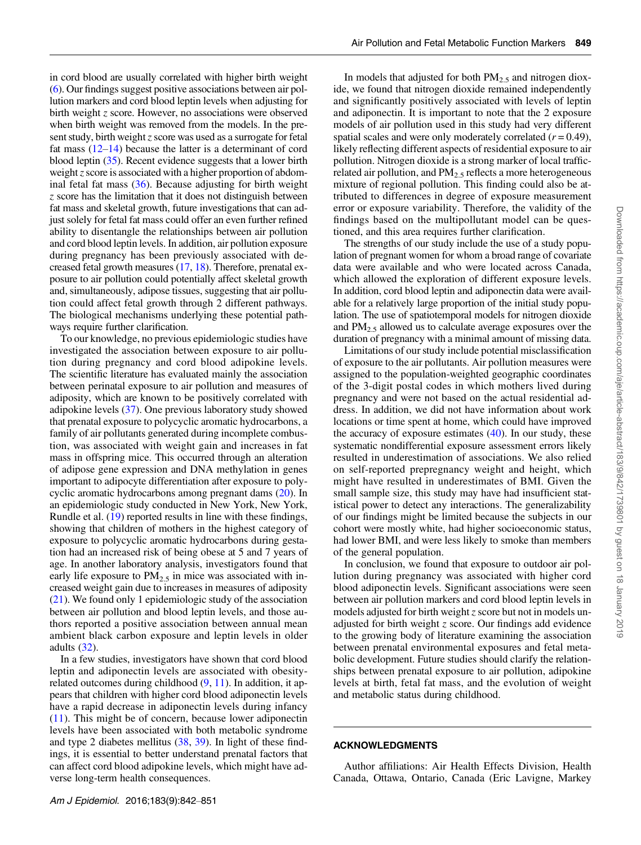in cord blood are usually correlated with higher birth weight [\(6](#page-8-0)). Our findings suggest positive associations between air pollution markers and cord blood leptin levels when adjusting for birth weight z score. However, no associations were observed when birth weight was removed from the models. In the present study, birth weight  $z$  score was used as a surrogate for fetal fat mass  $(12-14)$  $(12-14)$  $(12-14)$  $(12-14)$  because the latter is a determinant of cord blood leptin ([35\)](#page-9-0). Recent evidence suggests that a lower birth weight  $z$  score is associated with a higher proportion of abdominal fetal fat mass  $(36)$  $(36)$ . Because adjusting for birth weight z score has the limitation that it does not distinguish between fat mass and skeletal growth, future investigations that can adjust solely for fetal fat mass could offer an even further refined ability to disentangle the relationships between air pollution and cord blood leptin levels. In addition, air pollution exposure during pregnancy has been previously associated with decreased fetal growth measures [\(17,](#page-8-0) [18](#page-8-0)). Therefore, prenatal exposure to air pollution could potentially affect skeletal growth and, simultaneously, adipose tissues, suggesting that air pollution could affect fetal growth through 2 different pathways. The biological mechanisms underlying these potential pathways require further clarification.

To our knowledge, no previous epidemiologic studies have investigated the association between exposure to air pollution during pregnancy and cord blood adipokine levels. The scientific literature has evaluated mainly the association between perinatal exposure to air pollution and measures of adiposity, which are known to be positively correlated with adipokine levels ([37\)](#page-9-0). One previous laboratory study showed that prenatal exposure to polycyclic aromatic hydrocarbons, a family of air pollutants generated during incomplete combustion, was associated with weight gain and increases in fat mass in offspring mice. This occurred through an alteration of adipose gene expression and DNA methylation in genes important to adipocyte differentiation after exposure to polycyclic aromatic hydrocarbons among pregnant dams ([20](#page-8-0)). In an epidemiologic study conducted in New York, New York, Rundle et al. ([19\)](#page-8-0) reported results in line with these findings, showing that children of mothers in the highest category of exposure to polycyclic aromatic hydrocarbons during gestation had an increased risk of being obese at 5 and 7 years of age. In another laboratory analysis, investigators found that early life exposure to  $PM_{2.5}$  in mice was associated with increased weight gain due to increases in measures of adiposity [\(21](#page-8-0)). We found only 1 epidemiologic study of the association between air pollution and blood leptin levels, and those authors reported a positive association between annual mean ambient black carbon exposure and leptin levels in older adults ([32\)](#page-9-0).

In a few studies, investigators have shown that cord blood leptin and adiponectin levels are associated with obesityrelated outcomes during childhood ([9,](#page-8-0) [11\)](#page-8-0). In addition, it appears that children with higher cord blood adiponectin levels have a rapid decrease in adiponectin levels during infancy [\(11](#page-8-0)). This might be of concern, because lower adiponectin levels have been associated with both metabolic syndrome and type 2 diabetes mellitus ([38](#page-9-0), [39](#page-9-0)). In light of these findings, it is essential to better understand prenatal factors that can affect cord blood adipokine levels, which might have adverse long-term health consequences.

In models that adjusted for both  $PM_{2.5}$  and nitrogen dioxide, we found that nitrogen dioxide remained independently and significantly positively associated with levels of leptin and adiponectin. It is important to note that the 2 exposure models of air pollution used in this study had very different spatial scales and were only moderately correlated  $(r = 0.49)$ , likely reflecting different aspects of residential exposure to air pollution. Nitrogen dioxide is a strong marker of local trafficrelated air pollution, and  $PM<sub>2.5</sub>$  reflects a more heterogeneous mixture of regional pollution. This finding could also be attributed to differences in degree of exposure measurement error or exposure variability. Therefore, the validity of the findings based on the multipollutant model can be questioned, and this area requires further clarification.

The strengths of our study include the use of a study population of pregnant women for whom a broad range of covariate data were available and who were located across Canada, which allowed the exploration of different exposure levels. In addition, cord blood leptin and adiponectin data were available for a relatively large proportion of the initial study population. The use of spatiotemporal models for nitrogen dioxide and  $PM_{2.5}$  allowed us to calculate average exposures over the duration of pregnancy with a minimal amount of missing data.

Limitations of our study include potential misclassification of exposure to the air pollutants. Air pollution measures were assigned to the population-weighted geographic coordinates of the 3-digit postal codes in which mothers lived during pregnancy and were not based on the actual residential address. In addition, we did not have information about work locations or time spent at home, which could have improved the accuracy of exposure estimates  $(40)$  $(40)$ . In our study, these systematic nondifferential exposure assessment errors likely resulted in underestimation of associations. We also relied on self-reported prepregnancy weight and height, which might have resulted in underestimates of BMI. Given the small sample size, this study may have had insufficient statistical power to detect any interactions. The generalizability of our findings might be limited because the subjects in our cohort were mostly white, had higher socioeconomic status, had lower BMI, and were less likely to smoke than members of the general population.

In conclusion, we found that exposure to outdoor air pollution during pregnancy was associated with higher cord blood adiponectin levels. Significant associations were seen between air pollution markers and cord blood leptin levels in models adjusted for birth weight  $z$  score but not in models unadjusted for birth weight z score. Our findings add evidence to the growing body of literature examining the association between prenatal environmental exposures and fetal metabolic development. Future studies should clarify the relationships between prenatal exposure to air pollution, adipokine levels at birth, fetal fat mass, and the evolution of weight and metabolic status during childhood.

#### ACKNOWLEDGMENTS

Author affiliations: Air Health Effects Division, Health Canada, Ottawa, Ontario, Canada (Eric Lavigne, Markey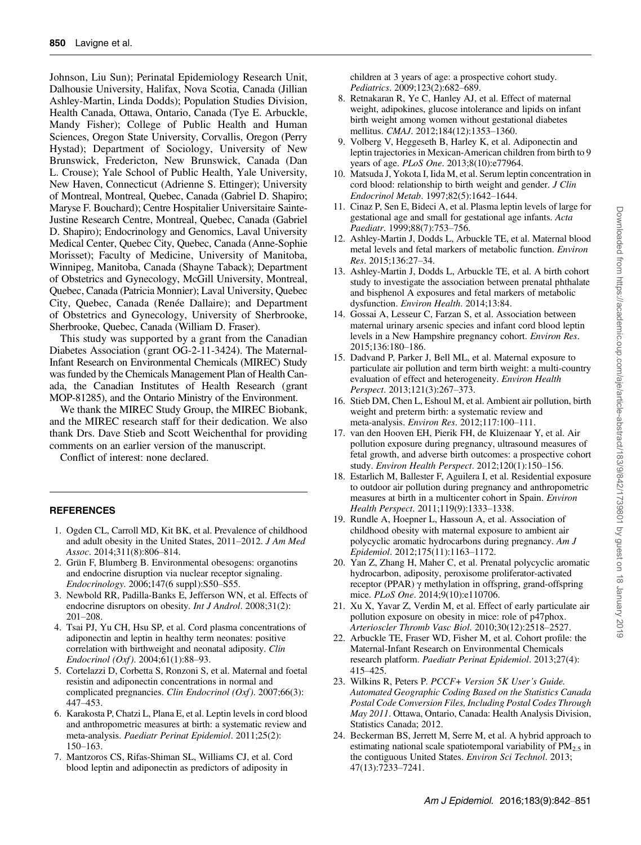<span id="page-8-0"></span>Johnson, Liu Sun); Perinatal Epidemiology Research Unit, Dalhousie University, Halifax, Nova Scotia, Canada (Jillian Ashley-Martin, Linda Dodds); Population Studies Division, Health Canada, Ottawa, Ontario, Canada (Tye E. Arbuckle, Mandy Fisher); College of Public Health and Human Sciences, Oregon State University, Corvallis, Oregon (Perry Hystad); Department of Sociology, University of New Brunswick, Fredericton, New Brunswick, Canada (Dan L. Crouse); Yale School of Public Health, Yale University, New Haven, Connecticut (Adrienne S. Ettinger); University of Montreal, Montreal, Quebec, Canada (Gabriel D. Shapiro; Maryse F. Bouchard); Centre Hospitalier Universitaire Sainte-Justine Research Centre, Montreal, Quebec, Canada (Gabriel D. Shapiro); Endocrinology and Genomics, Laval University Medical Center, Quebec City, Quebec, Canada (Anne-Sophie Morisset); Faculty of Medicine, University of Manitoba, Winnipeg, Manitoba, Canada (Shayne Taback); Department of Obstetrics and Gynecology, McGill University, Montreal, Quebec, Canada (Patricia Monnier); Laval University, Quebec City, Quebec, Canada (Renée Dallaire); and Department of Obstetrics and Gynecology, University of Sherbrooke, Sherbrooke, Quebec, Canada (William D. Fraser).

This study was supported by a grant from the Canadian Diabetes Association (grant OG-2-11-3424). The Maternal-Infant Research on Environmental Chemicals (MIREC) Study was funded by the Chemicals Management Plan of Health Canada, the Canadian Institutes of Health Research (grant MOP-81285), and the Ontario Ministry of the Environment.

We thank the MIREC Study Group, the MIREC Biobank, and the MIREC research staff for their dedication. We also thank Drs. Dave Stieb and Scott Weichenthal for providing comments on an earlier version of the manuscript.

Conflict of interest: none declared.

## **REFERENCES**

- 1. Ogden CL, Carroll MD, Kit BK, et al. Prevalence of childhood and adult obesity in the United States, 2011–2012. J Am Med Assoc. 2014;311(8):806–814.
- 2. Grün F, Blumberg B. Environmental obesogens: organotins and endocrine disruption via nuclear receptor signaling. Endocrinology. 2006;147(6 suppl):S50–S55.
- 3. Newbold RR, Padilla-Banks E, Jefferson WN, et al. Effects of endocrine disruptors on obesity. Int J Androl. 2008;31(2): 201–208.
- 4. Tsai PJ, Yu CH, Hsu SP, et al. Cord plasma concentrations of adiponectin and leptin in healthy term neonates: positive correlation with birthweight and neonatal adiposity. Clin Endocrinol (Oxf).  $2004; 61(1):88-93$ .
- 5. Cortelazzi D, Corbetta S, Ronzoni S, et al. Maternal and foetal resistin and adiponectin concentrations in normal and complicated pregnancies. Clin Endocrinol (Oxf). 2007;66(3): 447–453.
- 6. Karakosta P, Chatzi L, Plana E, et al. Leptin levels in cord blood and anthropometric measures at birth: a systematic review and meta-analysis. Paediatr Perinat Epidemiol. 2011;25(2): 150–163.
- 7. Mantzoros CS, Rifas-Shiman SL, Williams CJ, et al. Cord blood leptin and adiponectin as predictors of adiposity in

children at 3 years of age: a prospective cohort study. Pediatrics. 2009;123(2):682–689.

- 8. Retnakaran R, Ye C, Hanley AJ, et al. Effect of maternal weight, adipokines, glucose intolerance and lipids on infant birth weight among women without gestational diabetes mellitus. CMAJ. 2012;184(12):1353–1360.
- 9. Volberg V, Heggeseth B, Harley K, et al. Adiponectin and leptin trajectories in Mexican-American children from birth to 9 years of age. PLoS One. 2013;8(10):e77964.
- 10. Matsuda J, Yokota I, Iida M, et al. Serum leptin concentration in cord blood: relationship to birth weight and gender. J Clin Endocrinol Metab. 1997;82(5):1642–1644.
- 11. Cinaz P, Sen E, Bideci A, et al. Plasma leptin levels of large for gestational age and small for gestational age infants. Acta Paediatr. 1999;88(7):753–756.
- 12. Ashley-Martin J, Dodds L, Arbuckle TE, et al. Maternal blood metal levels and fetal markers of metabolic function. Environ Res. 2015;136:27–34.
- 13. Ashley-Martin J, Dodds L, Arbuckle TE, et al. A birth cohort study to investigate the association between prenatal phthalate and bisphenol A exposures and fetal markers of metabolic dysfunction. Environ Health. 2014;13:84.
- 14. Gossai A, Lesseur C, Farzan S, et al. Association between maternal urinary arsenic species and infant cord blood leptin levels in a New Hampshire pregnancy cohort. Environ Res. 2015;136:180–186.
- 15. Dadvand P, Parker J, Bell ML, et al. Maternal exposure to particulate air pollution and term birth weight: a multi-country evaluation of effect and heterogeneity. Environ Health Perspect. 2013;121(3):267–373.
- 16. Stieb DM, Chen L, Eshoul M, et al. Ambient air pollution, birth weight and preterm birth: a systematic review and meta-analysis. Environ Res. 2012;117:100–111.
- 17. van den Hooven EH, Pierik FH, de Kluizenaar Y, et al. Air pollution exposure during pregnancy, ultrasound measures of fetal growth, and adverse birth outcomes: a prospective cohort study. Environ Health Perspect. 2012;120(1):150–156.
- 18. Estarlich M, Ballester F, Aguilera I, et al. Residential exposure to outdoor air pollution during pregnancy and anthropometric measures at birth in a multicenter cohort in Spain. Environ Health Perspect. 2011;119(9):1333–1338.
- 19. Rundle A, Hoepner L, Hassoun A, et al. Association of childhood obesity with maternal exposure to ambient air polycyclic aromatic hydrocarbons during pregnancy. Am J Epidemiol. 2012;175(11):1163–1172.
- 20. Yan Z, Zhang H, Maher C, et al. Prenatal polycyclic aromatic hydrocarbon, adiposity, peroxisome proliferator-activated receptor (PPAR) γ methylation in offspring, grand-offspring mice. PLoS One. 2014;9(10):e110706.
- 21. Xu X, Yavar Z, Verdin M, et al. Effect of early particulate air pollution exposure on obesity in mice: role of p47phox. Arterioscler Thromb Vasc Biol. 2010;30(12):2518–2527.
- 22. Arbuckle TE, Fraser WD, Fisher M, et al. Cohort profile: the Maternal-Infant Research on Environmental Chemicals research platform. Paediatr Perinat Epidemiol. 2013;27(4): 415–425.
- 23. Wilkins R, Peters P. PCCF+ Version 5K User's Guide. Automated Geographic Coding Based on the Statistics Canada Postal Code Conversion Files, Including Postal Codes Through May 2011. Ottawa, Ontario, Canada: Health Analysis Division, Statistics Canada; 2012.
- 24. Beckerman BS, Jerrett M, Serre M, et al. A hybrid approach to estimating national scale spatiotemporal variability of  $PM<sub>2.5</sub>$  in the contiguous United States. Environ Sci Technol. 2013; 47(13):7233–7241.